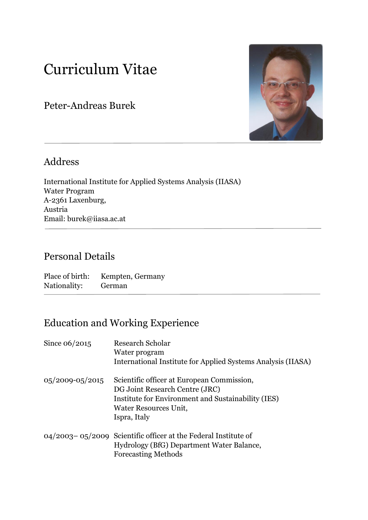# Curriculum Vitae

Peter-Andreas Burek



## Address

International Institute for Applied Systems Analysis (IIASA) Water Program A-2361 Laxenburg, Austria Email: burek@iiasa.ac.at

## Personal Details

Place of birth: Kempten, Germany Nationality: German

## Education and Working Experience

| Since $06/2015$       | Research Scholar<br>Water program<br>International Institute for Applied Systems Analysis (IIASA)                                                                           |
|-----------------------|-----------------------------------------------------------------------------------------------------------------------------------------------------------------------------|
| $0.5/2009 - 0.5/2015$ | Scientific officer at European Commission,<br>DG Joint Research Centre (JRC)<br>Institute for Environment and Sustainability (IES)<br>Water Resources Unit,<br>Ispra, Italy |
|                       | $04/2003-05/2009$ Scientific officer at the Federal Institute of<br>Hydrology (BfG) Department Water Balance,<br><b>Forecasting Methods</b>                                 |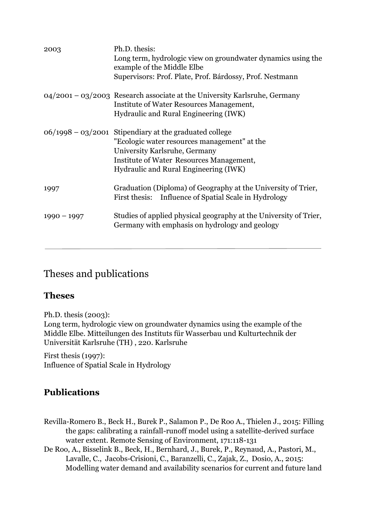| 2003          | Ph.D. thesis:<br>Long term, hydrologic view on groundwater dynamics using the<br>example of the Middle Elbe<br>Supervisors: Prof. Plate, Prof. Bárdossy, Prof. Nestmann                                                        |
|---------------|--------------------------------------------------------------------------------------------------------------------------------------------------------------------------------------------------------------------------------|
|               | $04/2001 - 03/2003$ Research associate at the University Karlsruhe, Germany<br>Institute of Water Resources Management,<br>Hydraulic and Rural Engineering (IWK)                                                               |
|               | $06/1998 - 03/2001$ Stipendiary at the graduated college<br>"Ecologic water resources management" at the<br>University Karlsruhe, Germany<br>Institute of Water Resources Management,<br>Hydraulic and Rural Engineering (IWK) |
| 1997          | Graduation (Diploma) of Geography at the University of Trier,<br>First thesis: Influence of Spatial Scale in Hydrology                                                                                                         |
| $1990 - 1997$ | Studies of applied physical geography at the University of Trier,<br>Germany with emphasis on hydrology and geology                                                                                                            |

#### Theses and publications

#### **Theses**

Ph.D. thesis (2003): Long term, hydrologic view on groundwater dynamics using the example of the Middle Elbe. Mitteilungen des Instituts für Wasserbau und Kulturtechnik der Universität Karlsruhe (TH) , 220. Karlsruhe

First thesis (1997): Influence of Spatial Scale in Hydrology

#### **Publications**

- Revilla-Romero B., Beck H., Burek P., Salamon P., De Roo A., Thielen J., 2015: Filling the gaps: calibrating a rainfall-runoff model using a satellite-derived surface water extent. Remote Sensing of Environment, 171:118-131
- De Roo, A., Bisselink B., Beck, H., Bernhard, J., Burek, P., Reynaud, A., Pastori, M., Lavalle, C., Jacobs-Crisioni, C., Baranzelli, C., Zajak, Z., Dosio, A., 2015: Modelling water demand and availability scenarios for current and future land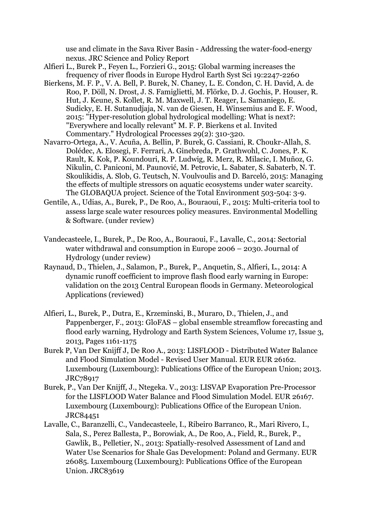use and climate in the Sava River Basin - Addressing the water-food-energy nexus. JRC Science and Policy Report

- Alfieri L., Burek P., Feyen L., Forzieri G., 2015: Global warming increases the frequency of river floods in Europe Hydrol Earth Syst Sci 19:2247-2260
- Bierkens, M. F. P., V. A. Bell, P. Burek, N. Chaney, L. E. Condon, C. H. David, A. de Roo, P. Döll, N. Drost, J. S. Famiglietti, M. Flörke, D. J. Gochis, P. Houser, R. Hut, J. Keune, S. Kollet, R. M. Maxwell, J. T. Reager, L. Samaniego, E. Sudicky, E. H. Sutanudjaja, N. van de Giesen, H. Winsemius and E. F. Wood, 2015: "Hyper-resolution global hydrological modelling: What is next?: "Everywhere and locally relevant" M. F. P. Bierkens et al. Invited Commentary." Hydrological Processes 29(2): 310-320.
- Navarro-Ortega, A., V. Acuña, A. Bellin, P. Burek, G. Cassiani, R. Choukr-Allah, S. Dolédec, A. Elosegi, F. Ferrari, A. Ginebreda, P. Grathwohl, C. Jones, P. K. Rault, K. Kok, P. Koundouri, R. P. Ludwig, R. Merz, R. Milacic, I. Muñoz, G. Nikulin, C. Paniconi, M. Paunović, M. Petrovic, L. Sabater, S. Sabaterb, N. T. Skoulikidis, A. Slob, G. Teutsch, N. Voulvoulis and D. Barceló, 2015: Managing the effects of multiple stressors on aquatic ecosystems under water scarcity. The GLOBAQUA project. Science of the Total Environment 503-504: 3-9.
- Gentile, A., Udias, A., Burek, P., De Roo, A., Bouraoui, F., 2015: Multi-criteria tool to assess large scale water resources policy measures. Environmental Modelling & Software. (under review)
- Vandecasteele, I., Burek, P., De Roo, A., Bouraoui, F., Lavalle, C., 2014: Sectorial water withdrawal and consumption in Europe 2006 – 2030. Journal of Hydrology (under review)
- Raynaud, D., Thielen, J., Salamon, P., Burek, P., Anquetin, S., Alfieri, L., 2014: A dynamic runoff coefficient to improve flash flood early warning in Europe: validation on the 2013 Central European floods in Germany. Meteorological Applications (reviewed)
- Alfieri, L., Burek, P., Dutra, E., Krzeminski, B., Muraro, D., Thielen, J., and Pappenberger, F., 2013: GloFAS – global ensemble streamflow forecasting and flood early warning, Hydrology and Earth System Sciences, Volume 17, Issue 3, 2013, Pages 1161-1175
- Burek P, Van Der Knijff J, De Roo A., 2013: LISFLOOD Distributed Water Balance and Flood Simulation Model - Revised User Manual. EUR EUR 26162. Luxembourg (Luxembourg): Publications Office of the European Union; 2013. JRC78917
- Burek, P., Van Der Knijff, J., Ntegeka. V., 2013: LISVAP Evaporation Pre-Processor for the LISFLOOD Water Balance and Flood Simulation Model. EUR 26167. Luxembourg (Luxembourg): Publications Office of the European Union. JRC84451
- Lavalle, C., Baranzelli, C., Vandecasteele, I., Ribeiro Barranco, R., Mari Rivero, I., Sala, S., Perez Ballesta, P., Borowiak, A., De Roo, A., Field, R., Burek, P., Gawlik, B., Pelletier, N., 2013: Spatially-resolved Assessment of Land and Water Use Scenarios for Shale Gas Development: Poland and Germany. EUR 26085. Luxembourg (Luxembourg): Publications Office of the European Union. JRC83619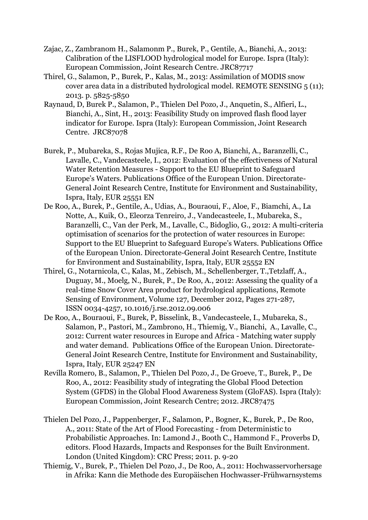- Zajac, Z., Zambranom H., Salamonm P., Burek, P., Gentile, A., Bianchi, A., 2013: Calibration of the LISFLOOD hydrological model for Europe. Ispra (Italy): European Commission, Joint Research Centre. JRC87717
- Thirel, G., Salamon, P., Burek, P., Kalas, M., 2013: Assimilation of MODIS snow cover area data in a distributed hydrological model. REMOTE SENSING 5 (11); 2013. p. 5825-5850
- Raynaud, D, Burek P., Salamon, P., Thielen Del Pozo, J., Anquetin, S., Alfieri, L., Bianchi, A., Sint, H., 2013: Feasibility Study on improved flash flood layer indicator for Europe. Ispra (Italy): European Commission, Joint Research Centre. JRC87078
- Burek, P., Mubareka, S., Rojas Mujica, R.F., De Roo A, Bianchi, A., Baranzelli, C., Lavalle, C., Vandecasteele, I., 2012: Evaluation of the effectiveness of Natural Water Retention Measures - Support to the EU Blueprint to Safeguard Europe's Waters. Publications Office of the European Union. Directorate-General Joint Research Centre, Institute for Environment and Sustainability, Ispra, Italy, EUR 25551 EN
- De Roo, A., Burek, P., Gentile, A., Udias, A., Bouraoui, F., Aloe, F., Biamchi, A., La Notte, A., Kuik, O., Eleorza Tenreiro, J., Vandecasteele, I., Mubareka, S., Baranzelli, C., Van der Perk, M., Lavalle, C., Bidoglio, G., 2012: A multi-criteria optimisation of scenarios for the protection of water resources in Europe: Support to the EU Blueprint to Safeguard Europe's Waters. Publications Office of the European Union. Directorate-General Joint Research Centre, Institute for Environment and Sustainability, Ispra, Italy, EUR 25552 EN
- Thirel, G., Notarnicola, C., Kalas, M., Zebisch, M., Schellenberger, T.,Tetzlaff, A., Duguay, M., Moelg, N., Burek, P., De Roo, A., 2012: Assessing the quality of a real-time Snow Cover Area product for hydrological applications, Remote Sensing of Environment, Volume 127, December 2012, Pages 271-287, ISSN 0034-4257, 10.1016/j.rse.2012.09.006
- De Roo, A., Bouraoui, F., Burek, P, Bisselink, B., Vandecasteele, I., Mubareka, S., Salamon, P., Pastori, M., Zambrono, H., Thiemig, V., Bianchi, A., Lavalle, C., 2012: Current water resources in Europe and Africa - Matching water supply and water demand. Publications Office of the European Union. Directorate-General Joint Research Centre, Institute for Environment and Sustainability, Ispra, Italy, EUR 25247 EN
- Revilla Romero, B., Salamon, P., Thielen Del Pozo, J., De Groeve, T., Burek, P., De Roo, A., 2012: Feasibility study of integrating the Global Flood Detection System (GFDS) in the Global Flood Awareness System (GloFAS). Ispra (Italy): European Commission, Joint Research Centre; 2012. JRC87475
- Thielen Del Pozo, J., Pappenberger, F., Salamon, P., Bogner, K., Burek, P., De Roo, A., 2011: State of the Art of Flood Forecasting - from Deterministic to Probabilistic Approaches. In: Lamond J., Booth C., Hammond F., Proverbs D, editors. Flood Hazards, Impacts and Responses for the Built Environment. London (United Kingdom): CRC Press; 2011. p. 9-20
- Thiemig, V., Burek, P., Thielen Del Pozo, J., De Roo, A., 2011: Hochwasservorhersage in Afrika: Kann die Methode des Europäischen Hochwasser-Frühwarnsystems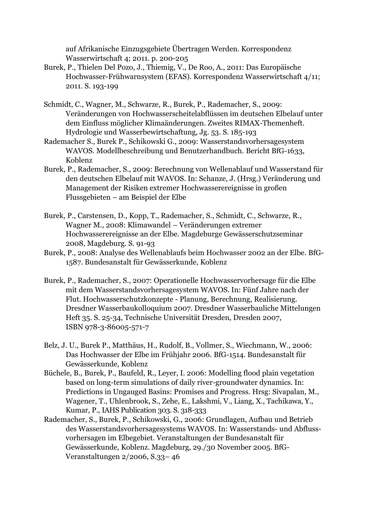auf Afrikanische Einzugsgebiete Übertragen Werden. Korrespondenz Wasserwirtschaft 4; 2011. p. 200-205

- Burek, P., Thielen Del Pozo, J., Thiemig, V., De Roo, A., 2011: Das Europäische Hochwasser-Frühwarnsystem (EFAS). Korrespondenz Wasserwirtschaft 4/11; 2011. S. 193-199
- Schmidt, C., Wagner, M., Schwarze, R., Burek, P., Rademacher, S., 2009: Veränderungen von Hochwasserscheitelabflüssen im deutschen Elbelauf unter dem Einfluss möglicher Klimaänderungen. Zweites RIMAX-Themenheft. Hydrologie und Wasserbewirtschaftung, Jg. 53. S. 185-193
- Rademacher S., Burek P., Schikowski G., 2009: Wasserstandsvorhersagesystem WAVOS. Modellbeschreibung und Benutzerhandbuch. Bericht BfG-1633, Koblenz
- Burek, P., Rademacher, S., 2009: Berechnung von Wellenablauf und Wasserstand für den deutschen Elbelauf mit WAVOS. In: Schanze, J. (Hrsg.) Veränderung und Management der Risiken extremer Hochwasserereignisse in großen Flussgebieten – am Beispiel der Elbe
- Burek, P., Carstensen, D., Kopp, T., Rademacher, S., Schmidt, C., Schwarze, R., Wagner M., 2008: Klimawandel – Veränderungen extremer Hochwasserereignisse an der Elbe. Magdeburge Gewässerschutzseminar 2008, Magdeburg. S. 91-93
- Burek, P., 2008: Analyse des Wellenablaufs beim Hochwasser 2002 an der Elbe. BfG-1587. Bundesanstalt für Gewässerkunde, Koblenz
- Burek, P., Rademacher, S., 2007: Operationelle Hochwasservorhersage für die Elbe mit dem Wasserstandsvorhersagesystem WAVOS. In: Fünf Jahre nach der Flut. Hochwasserschutzkonzepte - Planung, Berechnung, Realisierung. Dresdner Wasserbaukolloquium 2007. Dresdner Wasserbauliche Mittelungen Heft 35. S. 25-34, Technische Universität Dresden, Dresden 2007, ISBN 978-3-86005-571-7
- Belz, J. U., Burek P., Matthäus, H., Rudolf, B., Vollmer, S., Wiechmann, W., 2006: Das Hochwasser der Elbe im Frühjahr 2006. BfG-1514. Bundesanstalt für Gewässerkunde, Koblenz
- Büchele, B., Burek, P., Baufeld, R., Leyer, I. 2006: Modelling flood plain vegetation based on long-term simulations of daily river-groundwater dynamics. In: Predictions in Ungauged Basins: Promises and Progress. Hrsg: Sivapalan, M., Wagener, T., Uhlenbrook, S., Zehe, E., Lakshmi, V., Liang, X., Tachikawa, Y., Kumar, P., IAHS Publication 303. S. 318-333
- Rademacher, S., Burek, P., Schikowski, G., 2006: Grundlagen, Aufbau und Betrieb des Wasserstandsvorhersagesystems WAVOS. In: Wasserstands- und Abflussvorhersagen im Elbegebiet. Veranstaltungen der Bundesanstalt für Gewässerkunde, Koblenz. Magdeburg, 29./30 November 2005. BfG-Veranstaltungen 2/2006, S.33– 46